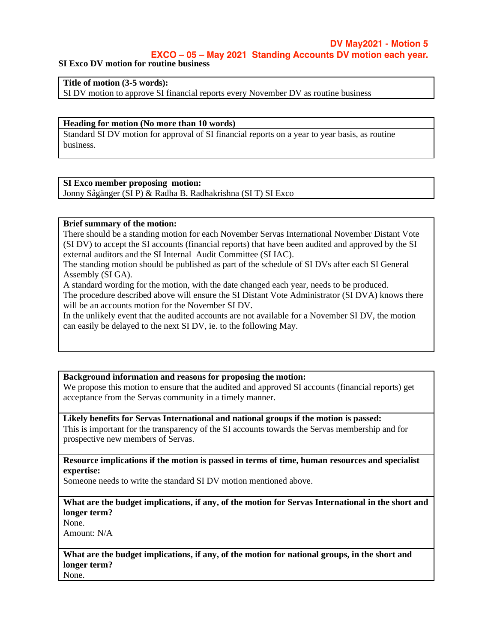## **DV May2021 - Motion 5**

**EXCO – 05 – May 2021 Standing Accounts DV motion each year.**

**SI Exco DV motion for routine business**

**Title of motion (3-5 words):**

SI DV motion to approve SI financial reports every November DV as routine business

#### **Heading for motion (No more than 10 words)**

Standard SI DV motion for approval of SI financial reports on a year to year basis, as routine business.

## **SI Exco member proposing motion:**

Jonny Sågänger (SI P) & Radha B. Radhakrishna (SI T) SI Exco

## **Brief summary of the motion:**

There should be a standing motion for each November Servas International November Distant Vote (SI DV) to accept the SI accounts (financial reports) that have been audited and approved by the SI external auditors and the SI Internal Audit Committee (SI IAC).

The standing motion should be published as part of the schedule of SI DVs after each SI General Assembly (SI GA).

A standard wording for the motion, with the date changed each year, needs to be produced. The procedure described above will ensure the SI Distant Vote Administrator (SI DVA) knows there will be an accounts motion for the November SI DV.

In the unlikely event that the audited accounts are not available for a November SI DV, the motion can easily be delayed to the next SI DV, ie. to the following May.

### **Background information and reasons for proposing the motion:**

We propose this motion to ensure that the audited and approved SI accounts (financial reports) get acceptance from the Servas community in a timely manner.

## **Likely benefits for Servas International and national groups if the motion is passed:**

This is important for the transparency of the SI accounts towards the Servas membership and for prospective new members of Servas.

**Resource implications if the motion is passed in terms of time, human resources and specialist expertise:**

Someone needs to write the standard SI DV motion mentioned above.

## **What are the budget implications, if any, of the motion for Servas International in the short and longer term?**

None.

Amount: N/A

# **What are the budget implications, if any, of the motion for national groups, in the short and longer term?**

None.